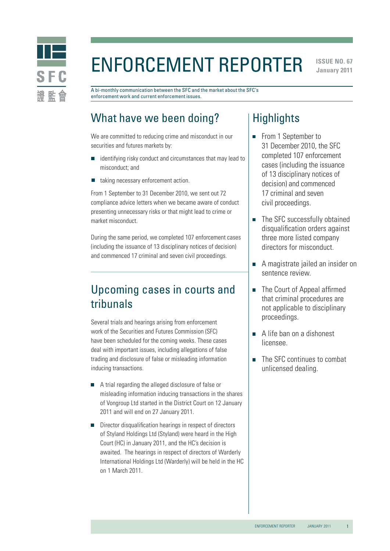

# Enforcement Reporter

**ISSUE NO. 67 January 2011** 

A bi-monthly communication between the SFC and the market about the SFC's enforcement work and current enforcement issues.

# What have we been doing?

We are committed to reducing crime and misconduct in our securities and futures markets by:

- identifying risky conduct and circumstances that may lead to misconduct; and
- taking necessary enforcement action.  $\Box$

From 1 September to 31 December 2010, we sent out 72 compliance advice letters when we became aware of conduct presenting unnecessary risks or that might lead to crime or market misconduct.

During the same period, we completed 107 enforcement cases (including the issuance of 13 disciplinary notices of decision) and commenced 17 criminal and seven civil proceedings.

# Upcoming cases in courts and tribunals

Several trials and hearings arising from enforcement work of the Securities and Futures Commission (SFC) have been scheduled for the coming weeks. These cases deal with important issues, including allegations of false trading and disclosure of false or misleading information inducing transactions.

- A trial regarding the alleged disclosure of false or misleading information inducing transactions in the shares of Vongroup Ltd started in the District Court on 12 January 2011 and will end on 27 January 2011.
- Director disqualification hearings in respect of directors of Styland Holdings Ltd (Styland) were heard in the High Court (HC) in January 2011, and the HC's decision is awaited. The hearings in respect of directors of Warderly International Holdings Ltd (Warderly) will be held in the HC on 1 March 2011.

# **Highlights**

- From 1 September to 31 December 2010, the SFC completed 107 enforcement cases (including the issuance of 13 disciplinary notices of decision) and commenced 17 criminal and seven civil proceedings.
- The SFC successfully obtained disqualification orders against three more listed company directors for misconduct.
- A magistrate jailed an insider on sentence review.
- The Court of Appeal affirmed that criminal procedures are not applicable to disciplinary proceedings.
- A life ban on a dishonest licensee.
- The SFC continues to combat unlicensed dealing.

1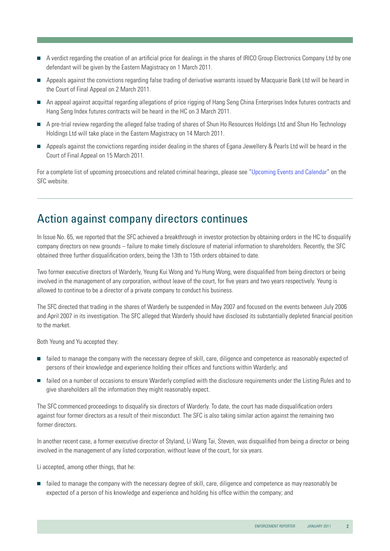- A verdict regarding the creation of an artificial price for dealings in the shares of IRICO Group Electronics Company Ltd by one defendant will be given by the Eastern Magistracy on 1 March 2011.
- Appeals against the convictions regarding false trading of derivative warrants issued by Macquarie Bank Ltd will be heard in the Court of Final Appeal on 2 March 2011.
- An appeal against acquittal regarding allegations of price rigging of Hang Seng China Enterprises Index futures contracts and Hang Seng Index futures contracts will be heard in the HC on 3 March 2011.
- A pre-trial review regarding the alleged false trading of shares of Shun Ho Resources Holdings Ltd and Shun Ho Technology Holdings Ltd will take place in the Eastern Magistracy on 14 March 2011.
- Appeals against the convictions regarding insider dealing in the shares of Egana Jewellery & Pearls Ltd will be heard in the Court of Final Appeal on 15 March 2011.

For a complete list of upcoming prosecutions and related criminal hearings, please see ["Upcoming Events and Calendar](http://www.sfc.hk/sfc/html/EN/events/prosecutions/prosecutions.html)" on the SFC website.

# Action against company directors continues

In Issue No. 65, we reported that the SFC achieved a breakthrough in investor protection by obtaining orders in the HC to disqualify company directors on new grounds – failure to make timely disclosure of material information to shareholders. Recently, the SFC obtained three further disqualification orders, being the 13th to 15th orders obtained to date.

Two former executive directors of Warderly, Yeung Kui Wong and Yu Hung Wong, were disqualified from being directors or being involved in the management of any corporation, without leave of the court, for five years and two years respectively. Yeung is allowed to continue to be a director of a private company to conduct his business.

The SFC directed that trading in the shares of Warderly be suspended in May 2007 and focused on the events between July 2006 and April 2007 in its investigation. The SFC alleged that Warderly should have disclosed its substantially depleted financial position to the market.

Both Yeung and Yu accepted they:

- failed to manage the company with the necessary degree of skill, care, diligence and competence as reasonably expected of persons of their knowledge and experience holding their offices and functions within Warderly; and
- **Failed on a number of occasions to ensure Warderly complied with the disclosure requirements under the Listing Rules and to** give shareholders all the information they might reasonably expect.

The SFC commenced proceedings to disqualify six directors of Warderly. To date, the court has made disqualification orders against four former directors as a result of their misconduct. The SFC is also taking similar action against the remaining two former directors.

In another recent case, a former executive director of Styland, Li Wang Tai, Steven, was disqualified from being a director or being involved in the management of any listed corporation, without leave of the court, for six years.

Li accepted, among other things, that he:

failed to manage the company with the necessary degree of skill, care, diligence and competence as may reasonably be expected of a person of his knowledge and experience and holding his office within the company; and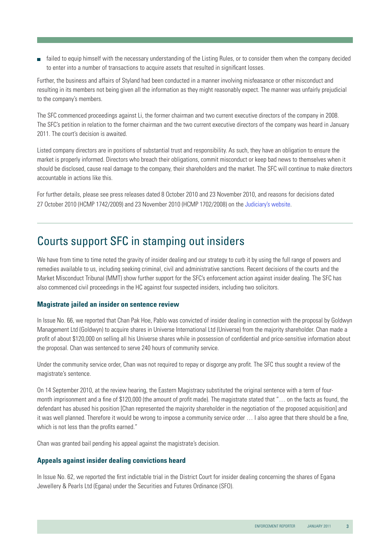failed to equip himself with the necessary understanding of the Listing Rules, or to consider them when the company decided to enter into a number of transactions to acquire assets that resulted in significant losses.

Further, the business and affairs of Styland had been conducted in a manner involving misfeasance or other misconduct and resulting in its members not being given all the information as they might reasonably expect. The manner was unfairly prejudicial to the company's members.

The SFC commenced proceedings against Li, the former chairman and two current executive directors of the company in 2008. The SFC's petition in relation to the former chairman and the two current executive directors of the company was heard in January 2011. The court's decision is awaited.

Listed company directors are in positions of substantial trust and responsibility. As such, they have an obligation to ensure the market is properly informed. Directors who breach their obligations, commit misconduct or keep bad news to themselves when it should be disclosed, cause real damage to the company, their shareholders and the market. The SFC will continue to make directors accountable in actions like this.

For further details, please see press releases dated 8 October 2010 and 23 November 2010, and reasons for decisions dated 27 October 2010 (HCMP 1742/2009) and 23 November 2010 (HCMP 1702/2008) on the [Judiciary's website](http://www.judiciary.gov.hk/en/index/index.htm).

### Courts support SFC in stamping out insiders

We have from time to time noted the gravity of insider dealing and our strategy to curb it by using the full range of powers and remedies available to us, including seeking criminal, civil and administrative sanctions. Recent decisions of the courts and the Market Misconduct Tribunal (MMT) show further support for the SFC's enforcement action against insider dealing. The SFC has also commenced civil proceedings in the HC against four suspected insiders, including two solicitors.

#### **Magistrate jailed an insider on sentence review**

In Issue No. 66, we reported that Chan Pak Hoe, Pablo was convicted of insider dealing in connection with the proposal by Goldwyn Management Ltd (Goldwyn) to acquire shares in Universe International Ltd (Universe) from the majority shareholder. Chan made a profit of about \$120,000 on selling all his Universe shares while in possession of confidential and price-sensitive information about the proposal. Chan was sentenced to serve 240 hours of community service.

Under the community service order, Chan was not required to repay or disgorge any profit. The SFC thus sought a review of the magistrate's sentence.

On 14 September 2010, at the review hearing, the Eastern Magistracy substituted the original sentence with a term of fourmonth imprisonment and a fine of \$120,000 (the amount of profit made). The magistrate stated that "… on the facts as found, the defendant has abused his position [Chan represented the majority shareholder in the negotiation of the proposed acquisition] and it was well planned. Therefore it would be wrong to impose a community service order … I also agree that there should be a fine, which is not less than the profits earned."

Chan was granted bail pending his appeal against the magistrate's decision.

#### **Appeals against insider dealing convictions heard**

In Issue No. 62, we reported the first indictable trial in the District Court for insider dealing concerning the shares of Egana Jewellery & Pearls Ltd (Egana) under the Securities and Futures Ordinance (SFO).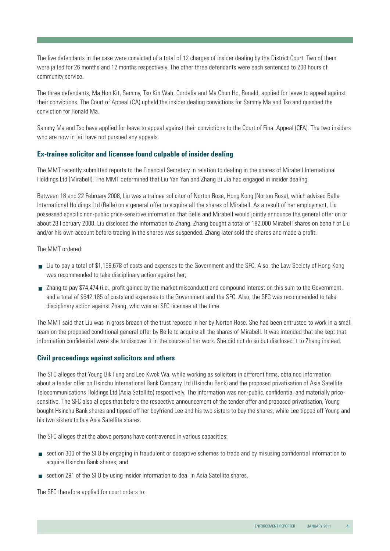The five defendants in the case were convicted of a total of 12 charges of insider dealing by the District Court. Two of them were jailed for 26 months and 12 months respectively. The other three defendants were each sentenced to 200 hours of community service.

The three defendants, Ma Hon Kit, Sammy, Tso Kin Wah, Cordelia and Ma Chun Ho, Ronald, applied for leave to appeal against their convictions. The Court of Appeal (CA) upheld the insider dealing convictions for Sammy Ma and Tso and quashed the conviction for Ronald Ma.

Sammy Ma and Tso have applied for leave to appeal against their convictions to the Court of Final Appeal (CFA). The two insiders who are now in jail have not pursued any appeals.

#### **Ex-trainee solicitor and licensee found culpable of insider dealing**

The MMT recently submitted reports to the Financial Secretary in relation to dealing in the shares of Mirabell International Holdings Ltd (Mirabell). The MMT determined that Liu Yan Yan and Zhang Bi Jia had engaged in insider dealing.

Between 18 and 22 February 2008, Liu was a trainee solicitor of Norton Rose, Hong Kong (Norton Rose), which advised Belle International Holdings Ltd (Belle) on a general offer to acquire all the shares of Mirabell. As a result of her employment, Liu possessed specific non-public price-sensitive information that Belle and Mirabell would jointly announce the general offer on or about 28 February 2008. Liu disclosed the information to Zhang. Zhang bought a total of 182,000 Mirabell shares on behalf of Liu and/or his own account before trading in the shares was suspended. Zhang later sold the shares and made a profit.

The MMT ordered:

- Liu to pay a total of \$1,158,678 of costs and expenses to the Government and the SFC. Also, the Law Society of Hong Kong was recommended to take disciplinary action against her;
- Zhang to pay \$74,474 (i.e., profit gained by the market misconduct) and compound interest on this sum to the Government, and a total of \$642,185 of costs and expenses to the Government and the SFC. Also, the SFC was recommended to take disciplinary action against Zhang, who was an SFC licensee at the time.

The MMT said that Liu was in gross breach of the trust reposed in her by Norton Rose. She had been entrusted to work in a small team on the proposed conditional general offer by Belle to acquire all the shares of Mirabell. It was intended that she kept that information confidential were she to discover it in the course of her work. She did not do so but disclosed it to Zhang instead.

#### **Civil proceedings against solicitors and others**

The SFC alleges that Young Bik Fung and Lee Kwok Wa, while working as solicitors in different firms, obtained information about a tender offer on Hsinchu International Bank Company Ltd (Hsinchu Bank) and the proposed privatisation of Asia Satellite Telecommunications Holdings Ltd (Asia Satellite) respectively. The information was non-public, confidential and materially pricesensitive. The SFC also alleges that before the respective announcement of the tender offer and proposed privatisation, Young bought Hsinchu Bank shares and tipped off her boyfriend Lee and his two sisters to buy the shares, while Lee tipped off Young and his two sisters to buy Asia Satellite shares.

The SFC alleges that the above persons have contravened in various capacities:

- section 300 of the SFO by engaging in fraudulent or deceptive schemes to trade and by misusing confidential information to acquire Hsinchu Bank shares; and
- section 291 of the SFO by using insider information to deal in Asia Satellite shares.

The SFC therefore applied for court orders to: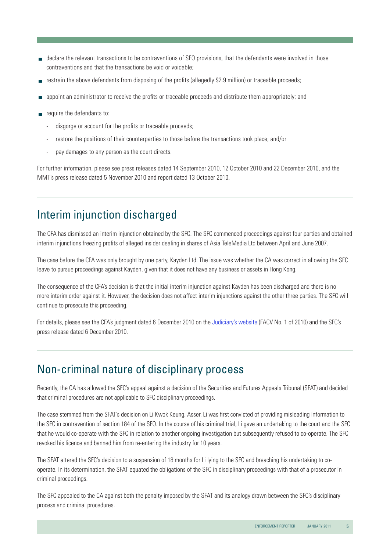- declare the relevant transactions to be contraventions of SFO provisions, that the defendants were involved in those contraventions and that the transactions be void or voidable;
- restrain the above defendants from disposing of the profits (allegedly \$2.9 million) or traceable proceeds;
- appoint an administrator to receive the profits or traceable proceeds and distribute them appropriately; and
- $\blacksquare$  require the defendants to:
	- disgorge or account for the profits or traceable proceeds;
	- restore the positions of their counterparties to those before the transactions took place; and/or
	- pay damages to any person as the court directs.

For further information, please see press releases dated 14 September 2010, 12 October 2010 and 22 December 2010, and the MMT's press release dated 5 November 2010 and report dated 13 October 2010.

# Interim injunction discharged

The CFA has dismissed an interim injunction obtained by the SFC. The SFC commenced proceedings against four parties and obtained interim injunctions freezing profits of alleged insider dealing in shares of Asia TeleMedia Ltd between April and June 2007.

The case before the CFA was only brought by one party, Kayden Ltd. The issue was whether the CA was correct in allowing the SFC leave to pursue proceedings against Kayden, given that it does not have any business or assets in Hong Kong.

The consequence of the CFA's decision is that the initial interim injunction against Kayden has been discharged and there is no more interim order against it. However, the decision does not affect interim injunctions against the other three parties. The SFC will continue to prosecute this proceeding.

For details, please see the CFA's judgment dated 6 December 2010 on the [Judiciary's website](http://www.judiciary.gov.hk/en/index/index.htm) (FACV No. 1 of 2010) and the SFC's press release dated 6 December 2010.

# Non-criminal nature of disciplinary process

Recently, the CA has allowed the SFC's appeal against a decision of the Securities and Futures Appeals Tribunal (SFAT) and decided that criminal procedures are not applicable to SFC disciplinary proceedings.

The case stemmed from the SFAT's decision on Li Kwok Keung, Asser. Li was first convicted of providing misleading information to the SFC in contravention of section 184 of the SFO. In the course of his criminal trial, Li gave an undertaking to the court and the SFC that he would co-operate with the SFC in relation to another ongoing investigation but subsequently refused to co-operate. The SFC revoked his licence and banned him from re-entering the industry for 10 years.

The SFAT altered the SFC's decision to a suspension of 18 months for Li lying to the SFC and breaching his undertaking to cooperate. In its determination, the SFAT equated the obligations of the SFC in disciplinary proceedings with that of a prosecutor in criminal proceedings.

The SFC appealed to the CA against both the penalty imposed by the SFAT and its analogy drawn between the SFC's disciplinary process and criminal procedures.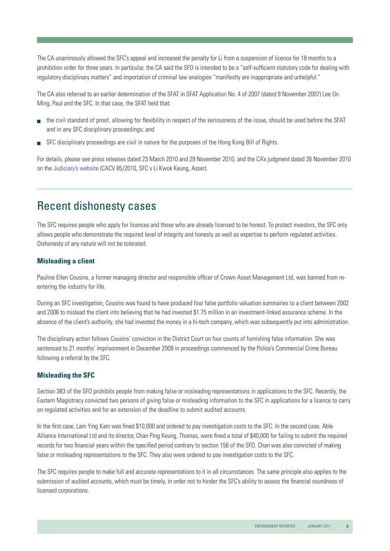The CA unanimously allowed the SFC's appeal and increased the penalty for Li from a suspension of licence for 18 months to a prohibition order for three years. In particular, the CA said the SFO is intended to be a "self-sufficient statutory code for dealing with regulatory disciplinary matters" and importation of criminal law analogies "manifestly are inappropriate and unhelpful."

The CA also referred to an earlier determination of the SFAT in SFAT Application No. 4 of 2007 (dated 9 November 2007) Lee On Ming, Paul and the SFC. In that case, the SFAT held that:

- the civil standard of proof, allowing for flexibility in respect of the seriousness of the issue, should be used before the SFAT and in any SFC disciplinary proceedings; and
- SFC disciplinary proceedings are civil in nature for the purposes of the Hong Kong Bill of Rights.

For details, please see press releases dated 23 March 2010 and 29 November 2010, and the CA's judgment dated 26 November 2010 on the [Judiciary's website](http://www.judiciary.gov.hk/en/index/index.htm) (CACV 85/2010, SFC v Li Kwok Keung, Asser).

#### Recent dishonesty cases

The SFC requires people who apply for licences and those who are already licensed to be honest. To protect investors, the SFC only allows people who demonstrate the required level of integrity and honesty as well as expertise to perform regulated activities. Dishonesty of any nature will not be tolerated.

#### **Misleading a client**

Pauline Ellen Cousins, a former managing director and responsible officer of Crown Asset Management Ltd, was banned from reentering the industry for life.

During an SFC investigation, Cousins was found to have produced four false portfolio valuation summaries to a client between 2002 and 2006 to mislead the client into believing that he had invested \$1.75 million in an investment-linked assurance scheme. In the absence of the client's authority, she had invested the money in a hi-tech company, which was subsequently put into administration.

The disciplinary action follows Cousins' conviction in the District Court on four counts of furnishing false information. She was sentenced to 21 months' imprisonment in December 2009 in proceedings commenced by the Police's Commercial Crime Bureau following a referral by the SFC.

#### **Misleading the SFC**

Section 383 of the SFO prohibits people from making false or misleading representations in applications to the SFC. Recently, the Eastern Magistracy convicted two persons of giving false or misleading information to the SFC in applications for a licence to carry on regulated activities and for an extension of the deadline to submit audited accounts.

In the first case, Lam Ying Kam was fined \$10,000 and ordered to pay investigation costs to the SFC. In the second case, Able Alliance International Ltd and its director, Chan Ping Keung, Thomas, were fined a total of \$40,000 for failing to submit the required records for two financial years within the specified period contrary to section 156 of the SFO. Chan was also convicted of making false or misleading representations to the SFC. They also were ordered to pay investigation costs to the SFC.

The SFC requires people to make full and accurate representations to it in all circumstances. The same principle also applies to the submission of audited accounts, which must be timely, in order not to hinder the SFC's ability to assess the financial soundness of licensed corporations.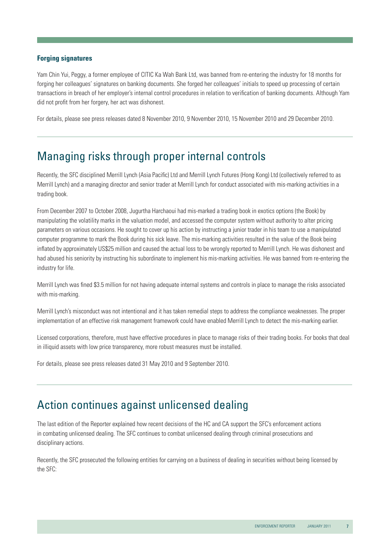#### **Forging signatures**

Yam Chin Yui, Peggy, a former employee of CITIC Ka Wah Bank Ltd, was banned from re-entering the industry for 18 months for forging her colleagues' signatures on banking documents. She forged her colleagues' initials to speed up processing of certain transactions in breach of her employer's internal control procedures in relation to verification of banking documents. Although Yam did not profit from her forgery, her act was dishonest.

For details, please see press releases dated 8 November 2010, 9 November 2010, 15 November 2010 and 29 December 2010.

### Managing risks through proper internal controls

Recently, the SFC disciplined Merrill Lynch (Asia Pacific) Ltd and Merrill Lynch Futures (Hong Kong) Ltd (collectively referred to as Merrill Lynch) and a managing director and senior trader at Merrill Lynch for conduct associated with mis-marking activities in a trading book.

From December 2007 to October 2008, Jugurtha Harchaoui had mis-marked a trading book in exotics options (the Book) by manipulating the volatility marks in the valuation model, and accessed the computer system without authority to alter pricing parameters on various occasions. He sought to cover up his action by instructing a junior trader in his team to use a manipulated computer programme to mark the Book during his sick leave. The mis-marking activities resulted in the value of the Book being inflated by approximately US\$25 million and caused the actual loss to be wrongly reported to Merrill Lynch. He was dishonest and had abused his seniority by instructing his subordinate to implement his mis-marking activities. He was banned from re-entering the industry for life.

Merrill Lynch was fined \$3.5 million for not having adequate internal systems and controls in place to manage the risks associated with mis-marking.

Merrill Lynch's misconduct was not intentional and it has taken remedial steps to address the compliance weaknesses. The proper implementation of an effective risk management framework could have enabled Merrill Lynch to detect the mis-marking earlier.

Licensed corporations, therefore, must have effective procedures in place to manage risks of their trading books. For books that deal in illiquid assets with low price transparency, more robust measures must be installed.

For details, please see press releases dated 31 May 2010 and 9 September 2010.

### Action continues against unlicensed dealing

The last edition of the Reporter explained how recent decisions of the HC and CA support the SFC's enforcement actions in combating unlicensed dealing. The SFC continues to combat unlicensed dealing through criminal prosecutions and disciplinary actions.

Recently, the SFC prosecuted the following entities for carrying on a business of dealing in securities without being licensed by the SFC: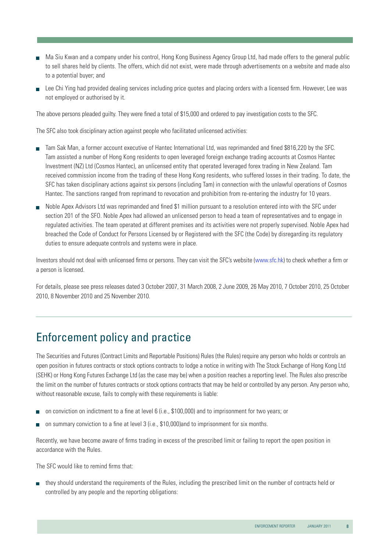- Ma Siu Kwan and a company under his control, Hong Kong Business Agency Group Ltd, had made offers to the general public to sell shares held by clients. The offers, which did not exist, were made through advertisements on a website and made also to a potential buyer; and
- Lee Chi Ying had provided dealing services including price quotes and placing orders with a licensed firm. However, Lee was not employed or authorised by it.

The above persons pleaded guilty. They were fined a total of \$15,000 and ordered to pay investigation costs to the SFC.

The SFC also took disciplinary action against people who facilitated unlicensed activities:

- Tam Sak Man, a former account executive of Hantec International Ltd, was reprimanded and fined \$816,220 by the SFC. Tam assisted a number of Hong Kong residents to open leveraged foreign exchange trading accounts at Cosmos Hantec Investment (NZ) Ltd (Cosmos Hantec), an unlicensed entity that operated leveraged forex trading in New Zealand. Tam received commission income from the trading of these Hong Kong residents, who suffered losses in their trading. To date, the SFC has taken disciplinary actions against six persons (including Tam) in connection with the unlawful operations of Cosmos Hantec. The sanctions ranged from reprimand to revocation and prohibition from re-entering the industry for 10 years.
- Noble Apex Advisors Ltd was reprimanded and fined \$1 million pursuant to a resolution entered into with the SFC under section 201 of the SFO. Noble Apex had allowed an unlicensed person to head a team of representatives and to engage in regulated activities. The team operated at different premises and its activities were not properly supervised. Noble Apex had breached the Code of Conduct for Persons Licensed by or Registered with the SFC (the Code) by disregarding its regulatory duties to ensure adequate controls and systems were in place.

Investors should not deal with unlicensed firms or persons. They can visit the SFC's website ([www.sfc.hk](http://www.sfc.hk/sfc/html/EN/)) to check whether a firm or a person is licensed.

For details, please see press releases dated 3 October 2007, 31 March 2008, 2 June 2009, 26 May 2010, 7 October 2010, 25 October 2010, 8 November 2010 and 25 November 2010.

### Enforcement policy and practice

The Securities and Futures (Contract Limits and Reportable Positions) Rules (the Rules) require any person who holds or controls an open position in futures contracts or stock options contracts to lodge a notice in writing with The Stock Exchange of Hong Kong Ltd (SEHK) or Hong Kong Futures Exchange Ltd (as the case may be) when a position reaches a reporting level. The Rules also prescribe the limit on the number of futures contracts or stock options contracts that may be held or controlled by any person. Any person who, without reasonable excuse, fails to comply with these requirements is liable:

- on conviction on indictment to a fine at level 6 (i.e., \$100,000) and to imprisonment for two years; or
- on summary conviction to a fine at level 3 (i.e., \$10,000)and to imprisonment for six months.

Recently, we have become aware of firms trading in excess of the prescribed limit or failing to report the open position in accordance with the Rules.

The SFC would like to remind firms that:

 they should understand the requirements of the Rules, including the prescribed limit on the number of contracts held or controlled by any people and the reporting obligations: